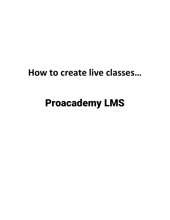## How to create live classes...

## **Proacademy LMS**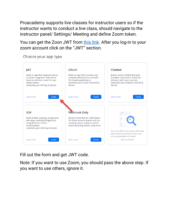Proacademy supports live classes for instructor users so if the instructor wants to conduct a live class, should navigate to the instructor panel/ Settings/ Meeting and define Zoom token.

You can get the Zoon JWT from [this link.](https://marketplace.zoom.us/develop/create) After you log-in to your zoom account click on the "JWT" section.

Choose your app type



Fill out the form and get JWT code.

Note: If you want to use Zoom, you should pass the above step. If you want to use others, ignore it.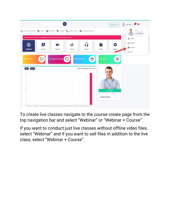

To create live classes navigate to the course create page from the top navigation bar and select "Webinar" or "Webinar + Course".

If you want to conduct just live classes without offline video files, select "Webinar" and if you want to sell files in addition to the live class, select "Webinar + Course".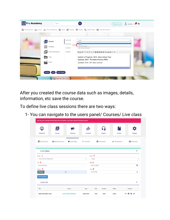|                                                                        |                                             | (B) Web Development   not Business   Personal Development   Secign (B) Marketing (B) Lifestyle (C) Health & Fitness   Eg) Teaching & Academics |  |
|------------------------------------------------------------------------|---------------------------------------------|------------------------------------------------------------------------------------------------------------------------------------------------|--|
| General<br><b>HIM</b> Category                                         | Course Type<br>Publish Type<br>Course Title | Course<br>Single<br>Course<br>webinar<br>main.course+webinar<br>How to Draw Characters                                                         |  |
| Extra Information<br>Е<br>View<br>$\mathbf{r}_{\mathbf{r},\mathbf{r}}$ | <b>Description</b>                          | <b>正△B / U 旧旧 x2 × 週 配 配 基 量 8 co cb 2 - ◇</b><br>Update in Progress: 2019 - New videos! Yay!<br>Updated: 2017 - Printable Practice PDFs       |  |
| Parts                                                                  |                                             | Updated: 2016 - 20+ New Lectures                                                                                                               |  |

After you created the course data such as images, details, information, etc save the course.

To define live class sessions there are two ways:

1- You can navigate to the users panel/ Courses/ Live class

| <b>Dashboard</b>              | $\blacktriangleright$<br><b>Courses</b> | Channels              | 必<br><b>Financial</b> |          | 62<br><b>Support</b> | <b>Articles</b> | <b>Settings</b>   |  |
|-------------------------------|-----------------------------------------|-----------------------|-----------------------|----------|----------------------|-----------------|-------------------|--|
| My Courses                    | My Purchases                            | <b>E</b> t Live Class | $\equiv$ Quizzes      |          | <b>2</b> Discounts   | Promotions      | <b>O</b> Requests |  |
| <b>Live Class</b>             |                                         |                       |                       |          |                      |                 | $\checkmark$      |  |
| Course 1                      |                                         |                       |                       | Status 2 |                      |                 |                   |  |
| <b>How to Draw Characters</b> |                                         |                       | $\checkmark$          | Active   |                      |                 | $\checkmark$      |  |
| Title 3                       |                                         |                       |                       | Date 4   |                      |                 |                   |  |
|                               |                                         |                       | $\Box$<br>08/11/2020  |          |                      |                 |                   |  |
| Live class title              |                                         |                       |                       | Time 6   |                      |                 |                   |  |
| Duration 5                    |                                         |                       |                       |          |                      |                 |                   |  |
| <b>Minutes</b>                | 60                                      |                       |                       | 08:30 PM |                      |                 | $\odot$           |  |
| Save changes                  |                                         |                       |                       |          |                      |                 |                   |  |
| <b>Live List</b>              |                                         |                       |                       |          |                      |                 | $\checkmark$      |  |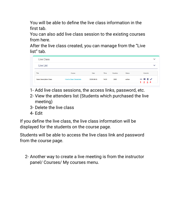You will be able to define the live class information in the first tab.

You can also add live class session to the existing courses from here.

After the live class created, you can manage from the "Live list" tab.

| <b>Live Class</b>              |                               |             |       |                 |               |                                           | $\checkmark$ |
|--------------------------------|-------------------------------|-------------|-------|-----------------|---------------|-------------------------------------------|--------------|
| <b>Live List</b>               |                               |             |       |                 |               |                                           | $\checkmark$ |
| Title                          | <b>Course</b>                 | <b>Date</b> | Time  | <b>Duration</b> | <b>Status</b> | Controls                                  |              |
| <b>Basic Description Class</b> | <b>How to Draw Characters</b> | 2020-08-05  | 14:00 | 2000            | active        | $\odot \equiv \bar{x}$<br>$1 \t2 \t3 \t4$ |              |

- 1- Add live class sessions, the access links, password, etc.
- 2- View the attenders list (Students which purchased the live meeting)
- 3- Delete the live class
- 4- Edit

If you define the live class, the live class information will be displayed for the students on the course page.

Students will be able to access the live class link and password from the course page.

2- Another way to create a live meeting is from the instructor panel/ Courses/ My courses menu.